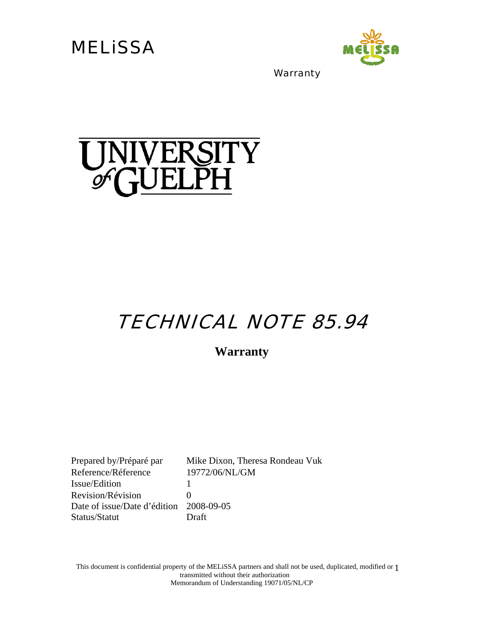**MELISSA** 



**Warranty** 

# UNIVERSITY<br>GUELPH

# TECHNICAL NOTE 85.94

**Warranty** 

Prepared by/Préparé par Mike Dixon, Theresa Rondeau Vuk Reference/Réference 19772/06/NL/GM Issue/Edition 1 Revision/Révision 0 Date of issue/Date d'édition 2008-09-05 Status/Statut Draft

This document is confidential property of the MELiSSA partners and shall not be used, duplicated, modified or 1 transmitted without their authorization Memorandum of Understanding 19071/05/NL/CP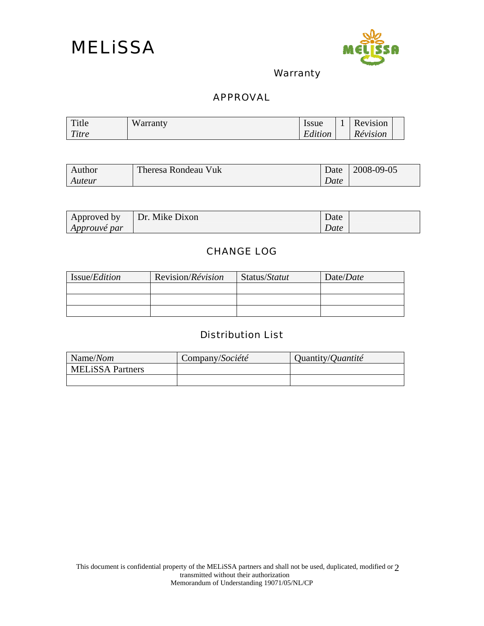



**Warranty** 

#### APPROVAL

| Title | W<br>arranty | Issue        | Revision |  |
|-------|--------------|--------------|----------|--|
| Titre |              | ┳<br>Edition | Révision |  |

| Author | Theresa Rondeau Vuk | Date | 2008-09-05 |
|--------|---------------------|------|------------|
| Auteur |                     | Date |            |

| Approved by         | Dr. Mike Dixon | Date |  |
|---------------------|----------------|------|--|
| <i>Approuve par</i> |                | Date |  |

#### CHANGE LOG

| Issue/ <i>Edition</i> | Revision/Révision | Status/Statut | Date/Date |
|-----------------------|-------------------|---------------|-----------|
|                       |                   |               |           |
|                       |                   |               |           |
|                       |                   |               |           |

#### Distribution List

| Name/Nom                | Company/Société | Quantity/ <i>Quantité</i> |
|-------------------------|-----------------|---------------------------|
| <b>MELISSA</b> Partners |                 |                           |
|                         |                 |                           |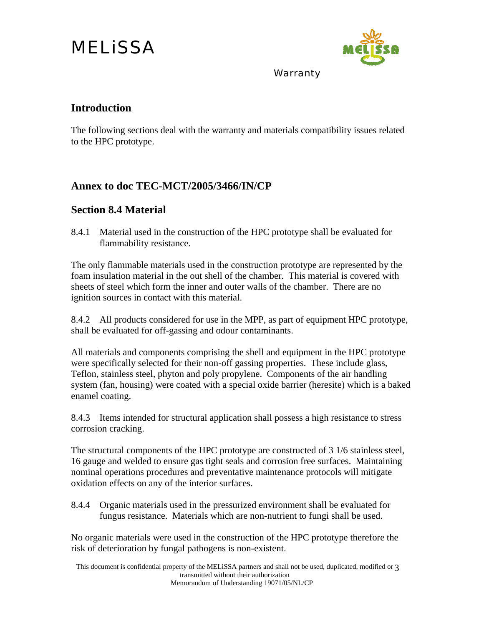# MELiSSA



Warranty

### **Introduction**

The following sections deal with the warranty and materials compatibility issues related to the HPC prototype.

## **Annex to doc TEC-MCT/2005/3466/IN/CP**

## **Section 8.4 Material**

8.4.1 Material used in the construction of the HPC prototype shall be evaluated for flammability resistance.

The only flammable materials used in the construction prototype are represented by the foam insulation material in the out shell of the chamber. This material is covered with sheets of steel which form the inner and outer walls of the chamber. There are no ignition sources in contact with this material.

8.4.2 All products considered for use in the MPP, as part of equipment HPC prototype, shall be evaluated for off-gassing and odour contaminants.

All materials and components comprising the shell and equipment in the HPC prototype were specifically selected for their non-off gassing properties. These include glass, Teflon, stainless steel, phyton and poly propylene. Components of the air handling system (fan, housing) were coated with a special oxide barrier (heresite) which is a baked enamel coating.

8.4.3 Items intended for structural application shall possess a high resistance to stress corrosion cracking.

The structural components of the HPC prototype are constructed of 3 1/6 stainless steel, 16 gauge and welded to ensure gas tight seals and corrosion free surfaces. Maintaining nominal operations procedures and preventative maintenance protocols will mitigate oxidation effects on any of the interior surfaces.

8.4.4 Organic materials used in the pressurized environment shall be evaluated for fungus resistance. Materials which are non-nutrient to fungi shall be used.

No organic materials were used in the construction of the HPC prototype therefore the risk of deterioration by fungal pathogens is non-existent.